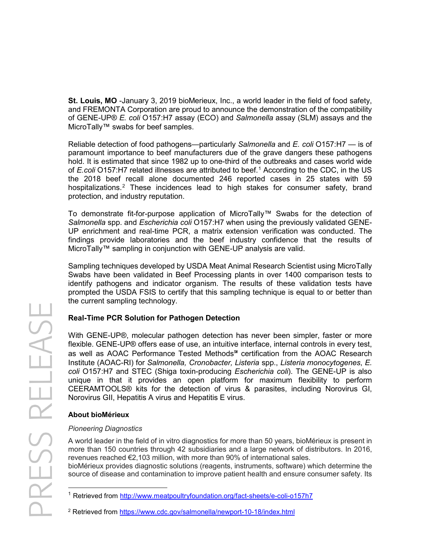**St. Louis, MO** -January 3, 2019 bioMerieux, Inc., a world leader in the field of food safety, and FREMONTA Corporation are proud to announce the demonstration of the compatibility of GENE-UP® *E. coli* O157:H7 assay (ECO) and *Salmonella* assay (SLM) assays and the MicroTally™ swabs for beef samples.

Reliable detection of food pathogens—particularly *Salmonella* and *E. coli* O157:H7 — is of paramount importance to beef manufacturers due of the grave dangers these pathogens hold. It is estimated that since 1982 up to one-third of the outbreaks and cases world wide of *E.coli* O157:H7 related illnesses are attributed to beef.[1](#page-0-0) According to the CDC, in the US the 2018 beef recall alone documented 246 reported cases in 25 states with 59 hospitalizations.[2](#page-0-1) These incidences lead to high stakes for consumer safety, brand protection, and industry reputation.

To demonstrate fit-for-purpose application of MicroTally™ Swabs for the detection of *Salmonella* spp. and *Escherichia coli* O157:H7 when using the previously validated GENE-UP enrichment and real-time PCR, a matrix extension verification was conducted. The findings provide laboratories and the beef industry confidence that the results of MicroTally™ sampling in conjunction with GENE-UP analysis are valid.

Sampling techniques developed by USDA Meat Animal Research Scientist using MicroTally Swabs have been validated in Beef Processing plants in over 1400 comparison tests to identify pathogens and indicator organism. The results of these validation tests have prompted the USDA FSIS to certify that this sampling technique is equal to or better than the current sampling technology.

# **Real-Time PCR Solution for Pathogen Detection**

With GENE-UP®, molecular pathogen detection has never been simpler, faster or more flexible. GENE-UP® offers ease of use, an intuitive interface, internal controls in every test, as well as AOAC Performance Tested Methods℠ certification from the AOAC Research Institute (AOAC-RI) for *Salmonella, Cronobacter, Listeria* spp., *Listeria monocytogenes*, *E. coli* O157:H7 and STEC (Shiga toxin-producing *Escherichia coli*). The GENE-UP is also unique in that it provides an open platform for maximum flexibility to perform CEERAMTOOLS® kits for the detection of virus & parasites, including Norovirus GI, Norovirus GII, Hepatitis A virus and Hepatitis E virus.

# **About bioMérieux**

# *Pioneering Diagnostics*

A world leader in the field of in vitro diagnostics for more than 50 years, bioMérieux is present in more than 150 countries through 42 subsidiaries and a large network of distributors. In 2016, revenues reached €2,103 million, with more than 90% of international sales.

bioMérieux provides diagnostic solutions (reagents, instruments, software) which determine the source of disease and contamination to improve patient health and ensure consumer safety. Its

<span id="page-0-1"></span><sup>2</sup> Retrieved from<https://www.cdc.gov/salmonella/newport-10-18/index.html>

<span id="page-0-0"></span><sup>&</sup>lt;sup>1</sup> Retrieved from<http://www.meatpoultryfoundation.org/fact-sheets/e-coli-o157h7>